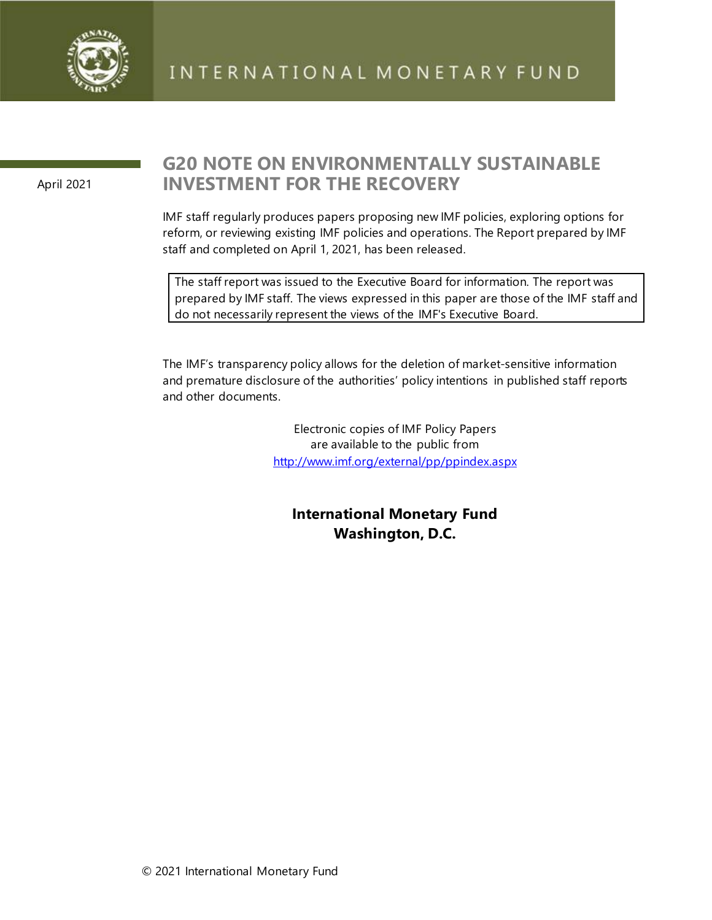

April 2021

# **G20 NOTE ON ENVIRONMENTALLY SUSTAINABLE INVESTMENT FOR THE RECOVERY**

IMF staff regularly produces papers proposing new IMF policies, exploring options for reform, or reviewing existing IMF policies and operations. The Report prepared by IMF staff and completed on April 1, 2021, has been released.

The staff report was issued to the Executive Board for information. The report was prepared by IMF staff. The views expressed in this paper are those of the IMF staff and do not necessarily represent the views of the IMF's Executive Board.

The IMF's transparency policy allows for the deletion of market-sensitive information and premature disclosure of the authorities' policy intentions in published staff reports and other documents.

> Electronic copies of IMF Policy Papers are available to the public from <http://www.imf.org/external/pp/ppindex.aspx>

**International Monetary Fund Washington, D.C.**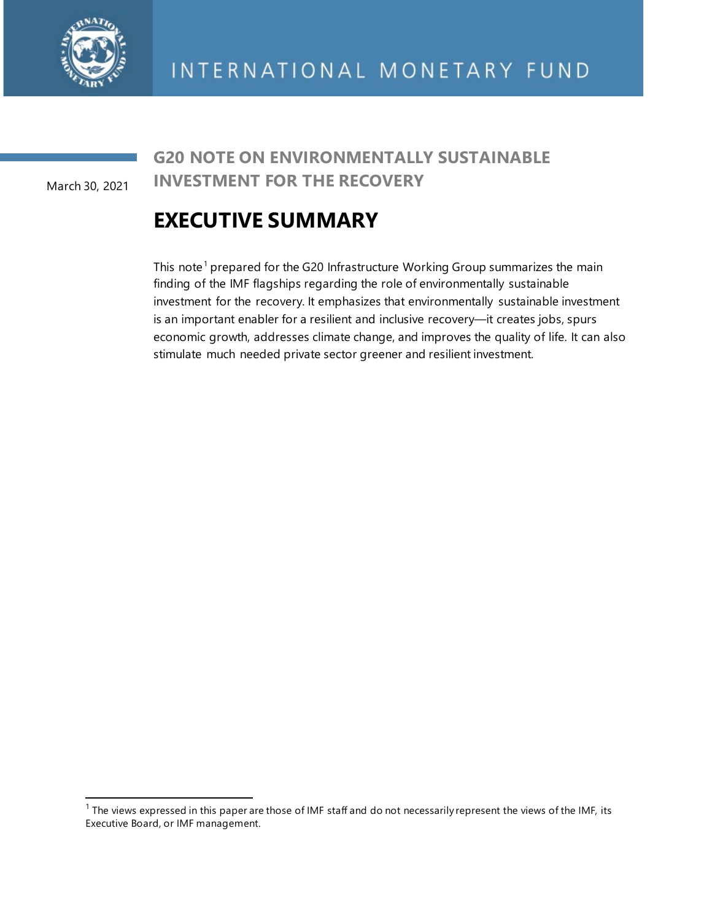

March 30, 2021

## **G20 NOTE ON ENVIRONMENTALLY SUSTAINABLE INVESTMENT FOR THE RECOVERY**

# **EXECUTIVE SUMMARY**

This note<sup>[1](#page-1-0)</sup> prepared for the G20 Infrastructure Working Group summarizes the main finding of the IMF flagships regarding the role of environmentally sustainable investment for the recovery. It emphasizes that environmentally sustainable investment is an important enabler for a resilient and inclusive recovery—it creates jobs, spurs economic growth, addresses climate change, and improves the quality of life. It can also stimulate much needed private sector greener and resilient investment.

<span id="page-1-0"></span> $1$  The views expressed in this paper are those of IMF staff and do not necessarily represent the views of the IMF, its Executive Board, or IMF management.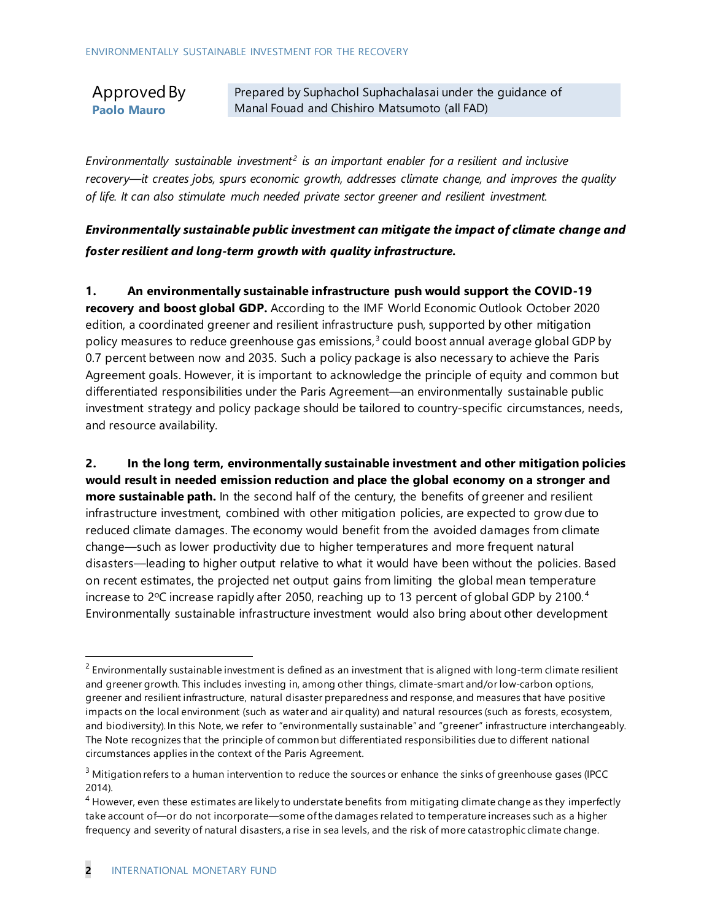### Approved By **Paolo Mauro**

Prepared by Suphachol Suphachalasai under the guidance of Manal Fouad and Chishiro Matsumoto (all FAD)

*Environmentally sustainable investment[2](#page-2-0) is an important enabler for a resilient and inclusive recovery—it creates jobs, spurs economic growth, addresses climate change, and improves the quality of life. It can also stimulate much needed private sector greener and resilient investment.*

*Environmentally sustainable public investment can mitigate the impact of climate change and foster resilient and long-term growth with quality infrastructure.*

**1. An environmentally sustainable infrastructure push would support the COVID-19 recovery and boost global GDP.** According to the IMF World Economic Outlook October 2020 edition, a coordinated greener and resilient infrastructure push, supported by other mitigation policy measures to reduce greenhouse gas emissions, $3$  could boost annual average global GDP by 0.7 percent between now and 2035. Such a policy package is also necessary to achieve the Paris Agreement goals. However, it is important to acknowledge the principle of equity and common but differentiated responsibilities under the Paris Agreement—an environmentally sustainable public investment strategy and policy package should be tailored to country-specific circumstances, needs, and resource availability.

**2. In the long term, environmentally sustainable investment and other mitigation policies would result in needed emission reduction and place the global economy on a stronger and more sustainable path.** In the second half of the century, the benefits of greener and resilient infrastructure investment, combined with other mitigation policies, are expected to grow due to reduced climate damages. The economy would benefit from the avoided damages from climate change—such as lower productivity due to higher temperatures and more frequent natural disasters—leading to higher output relative to what it would have been without the policies. Based on recent estimates, the projected net output gains from limiting the global mean temperature increase to 2 $\degree$ C increase rapidly after 2050, reaching up to 13 percent of global GDP by 2100. $\degree$ Environmentally sustainable infrastructure investment would also bring about other development

<span id="page-2-0"></span> $<sup>2</sup>$  Environmentally sustainable investment is defined as an investment that is aligned with long-term climate resilient</sup> and greener growth. This includes investing in, among other things, climate-smart and/or low-carbon options, greener and resilient infrastructure, natural disaster preparedness and response, and measures that have positive impacts on the local environment (such as water and air quality) and natural resources (such as forests, ecosystem, and biodiversity). In this Note, we refer to "environmentally sustainable" and "greener" infrastructure interchangeably. The Note recognizes that the principle of common but differentiated responsibilities due to different national circumstances applies in the context of the Paris Agreement.

<span id="page-2-1"></span> $3$  Mitigation refers to a human intervention to reduce the sources or enhance the sinks of greenhouse gases (IPCC

<span id="page-2-2"></span><sup>2014).&</sup>lt;br><sup>4</sup> However, even these estimates are likely to understate benefits from mitigating climate change as they imperfectly take account of—or do not incorporate—some of the damages related to temperature increases such as a higher frequency and severity of natural disasters, a rise in sea levels, and the risk of more catastrophic climate change.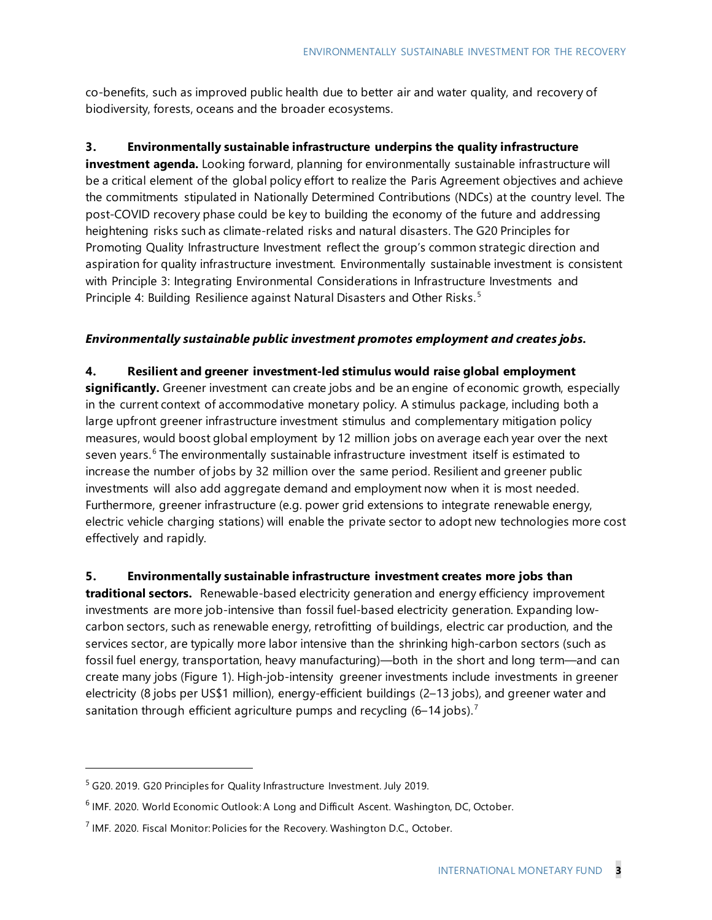co-benefits, such as improved public health due to better air and water quality, and recovery of biodiversity, forests, oceans and the broader ecosystems.

#### **3. Environmentally sustainable infrastructure underpins the quality infrastructure**

**investment agenda.** Looking forward, planning for environmentally sustainable infrastructure will be a critical element of the global policy effort to realize the Paris Agreement objectives and achieve the commitments stipulated in Nationally Determined Contributions (NDCs) at the country level. The post-COVID recovery phase could be key to building the economy of the future and addressing heightening risks such as climate-related risks and natural disasters. The G20 Principles for Promoting Quality Infrastructure Investment reflect the group's common strategic direction and aspiration for quality infrastructure investment. Environmentally sustainable investment is consistent with Principle 3: Integrating Environmental Considerations in Infrastructure Investments and Principle 4: Building Resilience against Natural Disasters and Other Risks.<sup>[5](#page-3-0)</sup>

#### *Environmentally sustainable public investment promotes employment and creates jobs.*

**4. Resilient and greener investment-led stimulus would raise global employment significantly.** Greener investment can create jobs and be an engine of economic growth, especially in the current context of accommodative monetary policy. A stimulus package, including both a large upfront greener infrastructure investment stimulus and complementary mitigation policy measures, would boost global employment by 12 million jobs on average each year over the next seven years.<sup>[6](#page-3-1)</sup> The environmentally sustainable infrastructure investment itself is estimated to increase the number of jobs by 32 million over the same period. Resilient and greener public investments will also add aggregate demand and employment now when it is most needed. Furthermore, greener infrastructure (e.g. power grid extensions to integrate renewable energy, electric vehicle charging stations) will enable the private sector to adopt new technologies more cost effectively and rapidly.

**5. Environmentally sustainable infrastructure investment creates more jobs than traditional sectors.** Renewable-based electricity generation and energy efficiency improvement investments are more job-intensive than fossil fuel-based electricity generation. Expanding lowcarbon sectors, such as renewable energy, retrofitting of buildings, electric car production, and the services sector, are typically more labor intensive than the shrinking high-carbon sectors (such as fossil fuel energy, transportation, heavy manufacturing)—both in the short and long term—and can create many jobs (Figure 1). High-job-intensity greener investments include investments in greener electricity (8 jobs per US\$1 million), energy-efficient buildings (2–13 jobs), and greener water and sanitation through efficient agriculture pumps and recycling  $(6-14 \text{ jobs})$ .<sup>[7](#page-3-2)</sup>

<span id="page-3-0"></span><sup>&</sup>lt;sup>5</sup> G20. 2019. G20 Principles for Quality Infrastructure Investment. July 2019.

<span id="page-3-1"></span><sup>&</sup>lt;sup>6</sup> IMF. 2020. World Economic Outlook: A Long and Difficult Ascent. Washington, DC, October.

<span id="page-3-2"></span> $<sup>7</sup>$  IMF. 2020. Fiscal Monitor: Policies for the Recovery. Washington D.C., October.</sup>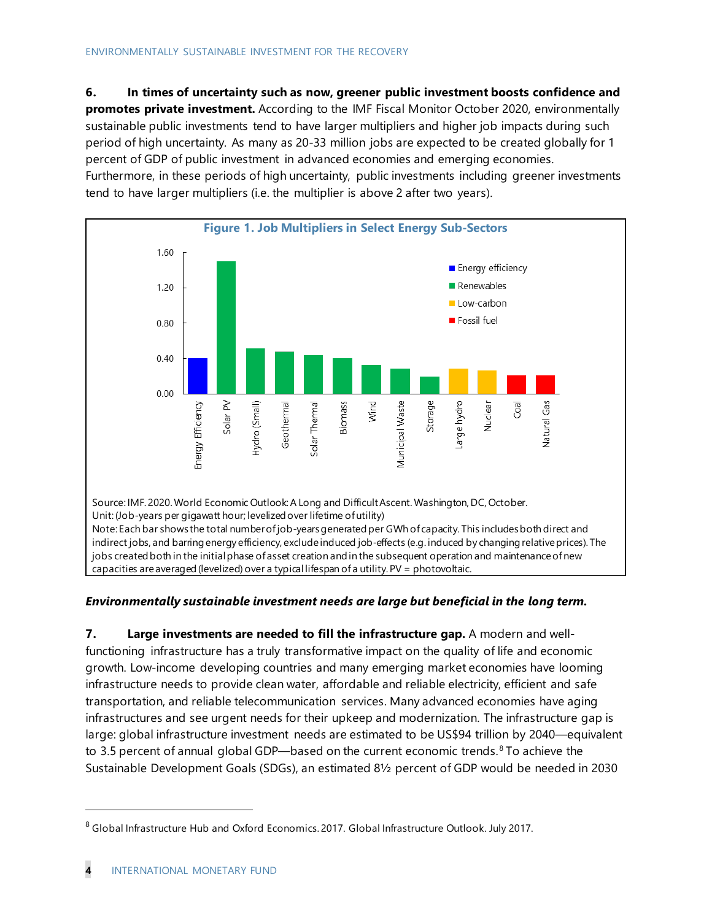**6. In times of uncertainty such as now, greener public investment boosts confidence and promotes private investment.** According to the IMF Fiscal Monitor October 2020, environmentally sustainable public investments tend to have larger multipliers and higher job impacts during such period of high uncertainty. As many as 20-33 million jobs are expected to be created globally for 1 percent of GDP of public investment in advanced economies and emerging economies. Furthermore, in these periods of high uncertainty, public investments including greener investments tend to have larger multipliers (i.e. the multiplier is above 2 after two years).



#### *Environmentally sustainable investment needs are large but beneficial in the long term.*

**7. Large investments are needed to fill the infrastructure gap.** A modern and wellfunctioning infrastructure has a truly transformative impact on the quality of life and economic growth. Low-income developing countries and many emerging market economies have looming infrastructure needs to provide clean water, affordable and reliable electricity, efficient and safe transportation, and reliable telecommunication services. Many advanced economies have aging infrastructures and see urgent needs for their upkeep and modernization. The infrastructure gap is large: global infrastructure investment needs are estimated to be US\$94 trillion by 2040—equivalent to 3.5 percent of annual global GDP—based on the current economic trends.<sup>[8](#page-4-0)</sup> To achieve the Sustainable Development Goals (SDGs), an estimated 8½ percent of GDP would be needed in 2030

<span id="page-4-0"></span><sup>&</sup>lt;sup>8</sup> Global Infrastructure Hub and Oxford Economics. 2017. Global Infrastructure Outlook. July 2017.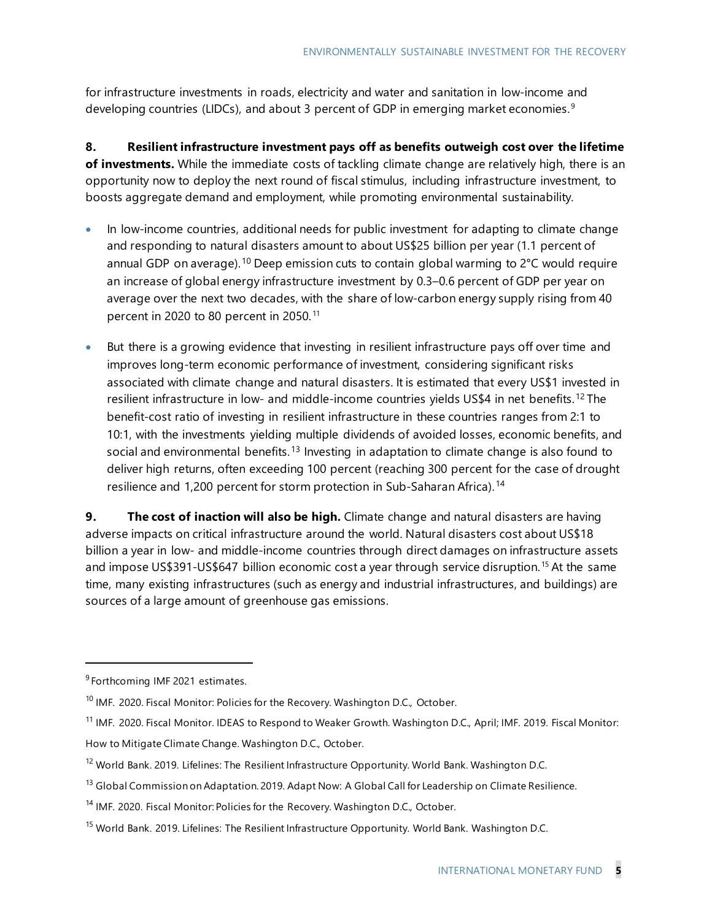for infrastructure investments in roads, electricity and water and sanitation in low-income and developing countries (LIDCs), and about 3 percent of GDP in emerging market economies. [9](#page-5-0)

**8. Resilient infrastructure investment pays off as benefits outweigh cost over the lifetime of investments.** While the immediate costs of tackling climate change are relatively high, there is an opportunity now to deploy the next round of fiscal stimulus, including infrastructure investment, to boosts aggregate demand and employment, while promoting environmental sustainability.

- In low-income countries, additional needs for public investment for adapting to climate change and responding to natural disasters amount to about US\$25 billion per year (1.1 percent of annual GDP on average).<sup>[10](#page-5-1)</sup> Deep emission cuts to contain global warming to 2°C would require an increase of global energy infrastructure investment by 0.3–0.6 percent of GDP per year on average over the next two decades, with the share of low-carbon energy supply rising from 40 percent in 2020 to 80 percent in 2050. [11](#page-5-2)
- But there is a growing evidence that investing in resilient infrastructure pays off over time and improves long-term economic performance of investment, considering significant risks associated with climate change and natural disasters. It is estimated that every US\$1 invested in resilient infrastructure in low- and middle-income countries yields US\$4 in net benefits.<sup>[12](#page-5-3)</sup> The benefit-cost ratio of investing in resilient infrastructure in these countries ranges from 2:1 to 10:1, with the investments yielding multiple dividends of avoided losses, economic benefits, and social and environmental benefits.<sup>[13](#page-5-4)</sup> Investing in adaptation to climate change is also found to deliver high returns, often exceeding 100 percent (reaching 300 percent for the case of drought resilience and 1,200 percent for storm protection in Sub-Saharan Africa).<sup>[14](#page-5-5)</sup>

**9. The cost of inaction will also be high.** Climate change and natural disasters are having adverse impacts on critical infrastructure around the world. Natural disasters cost about US\$18 billion a year in low- and middle-income countries through direct damages on infrastructure assets and impose US\$391-US\$647 billion economic cost a year through service disruption.<sup>[15](#page-5-6)</sup> At the same time, many existing infrastructures (such as energy and industrial infrastructures, and buildings) are sources of a large amount of greenhouse gas emissions.

<span id="page-5-0"></span><sup>&</sup>lt;sup>9</sup> Forthcoming IMF 2021 estimates.

<span id="page-5-1"></span><sup>&</sup>lt;sup>10</sup> IMF. 2020. Fiscal Monitor: Policies for the Recovery. Washington D.C., October.

<span id="page-5-2"></span><sup>&</sup>lt;sup>11</sup> IMF. 2020. Fiscal Monitor. IDEAS to Respond to Weaker Growth. Washington D.C., April; IMF. 2019. Fiscal Monitor: How to Mitigate Climate Change. Washington D.C., October.

<span id="page-5-3"></span><sup>&</sup>lt;sup>12</sup> World Bank. 2019. Lifelines: The Resilient Infrastructure Opportunity. World Bank. Washington D.C.

<span id="page-5-4"></span><sup>&</sup>lt;sup>13</sup> Global Commission on Adaptation. 2019. Adapt Now: A Global Call for Leadership on Climate Resilience.

<span id="page-5-5"></span><sup>&</sup>lt;sup>14</sup> IMF. 2020. Fiscal Monitor: Policies for the Recovery. Washington D.C., October.

<span id="page-5-6"></span><sup>&</sup>lt;sup>15</sup> World Bank. 2019. Lifelines: The Resilient Infrastructure Opportunity. World Bank. Washington D.C.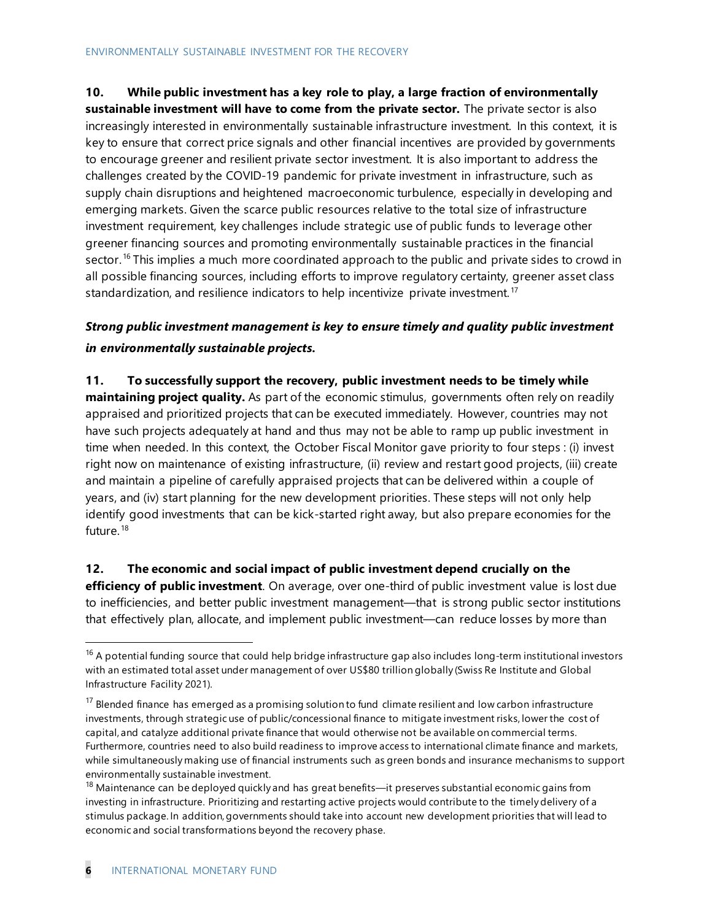**10. While public investment has a key role to play, a large fraction of environmentally** 

**sustainable investment will have to come from the private sector.** The private sector is also increasingly interested in environmentally sustainable infrastructure investment. In this context, it is key to ensure that correct price signals and other financial incentives are provided by governments to encourage greener and resilient private sector investment. It is also important to address the challenges created by the COVID-19 pandemic for private investment in infrastructure, such as supply chain disruptions and heightened macroeconomic turbulence, especially in developing and emerging markets. Given the scarce public resources relative to the total size of infrastructure investment requirement, key challenges include strategic use of public funds to leverage other greener financing sources and promoting environmentally sustainable practices in the financial sector.<sup>[16](#page-6-0)</sup> This implies a much more coordinated approach to the public and private sides to crowd in all possible financing sources, including efforts to improve regulatory certainty, greener asset class standardization, and resilience indicators to help incentivize private investment.<sup>[17](#page-6-1)</sup>

## *Strong public investment management is key to ensure timely and quality public investment in environmentally sustainable projects.*

**11. To successfully support the recovery, public investment needs to be timely while maintaining project quality.** As part of the economic stimulus, governments often rely on readily appraised and prioritized projects that can be executed immediately. However, countries may not have such projects adequately at hand and thus may not be able to ramp up public investment in time when needed. In this context, the October Fiscal Monitor gave priority to four steps : (i) invest right now on maintenance of existing infrastructure, (ii) review and restart good projects, (iii) create and maintain a pipeline of carefully appraised projects that can be delivered within a couple of years, and (iv) start planning for the new development priorities. These steps will not only help identify good investments that can be kick-started right away, but also prepare economies for the future.<sup>[18](#page-6-2)</sup>

#### **12. The economic and social impact of public investment depend crucially on the efficiency of public investment**. On average, over one-third of public investment value is lost due to inefficiencies, and better public investment management—that is strong public sector institutions that effectively plan, allocate, and implement public investment—can reduce losses by more than

<span id="page-6-0"></span> $16$  A potential funding source that could help bridge infrastructure gap also includes long-term institutional investors with an estimated total asset under management of over US\$80 trillion globally (Swiss Re Institute and Global Infrastructure Facility 2021).

<span id="page-6-1"></span><sup>&</sup>lt;sup>17</sup> Blended finance has emerged as a promising solution to fund climate resilient and low carbon infrastructure investments, through strategic use of public/concessional finance to mitigate investment risks, lower the cost of capital, and catalyze additional private finance that would otherwise not be available on commercial terms. Furthermore, countries need to also build readiness to improve access to international climate finance and markets, while simultaneously making use of financial instruments such as green bonds and insurance mechanisms to support environmentally sustainable investment.

<span id="page-6-2"></span> $18$  Maintenance can be deployed quickly and has great benefits—it preserves substantial economic gains from investing in infrastructure. Prioritizing and restarting active projects would contribute to the timely delivery of a stimulus package. In addition, governments should take into account new development priorities that will lead to economic and social transformations beyond the recovery phase.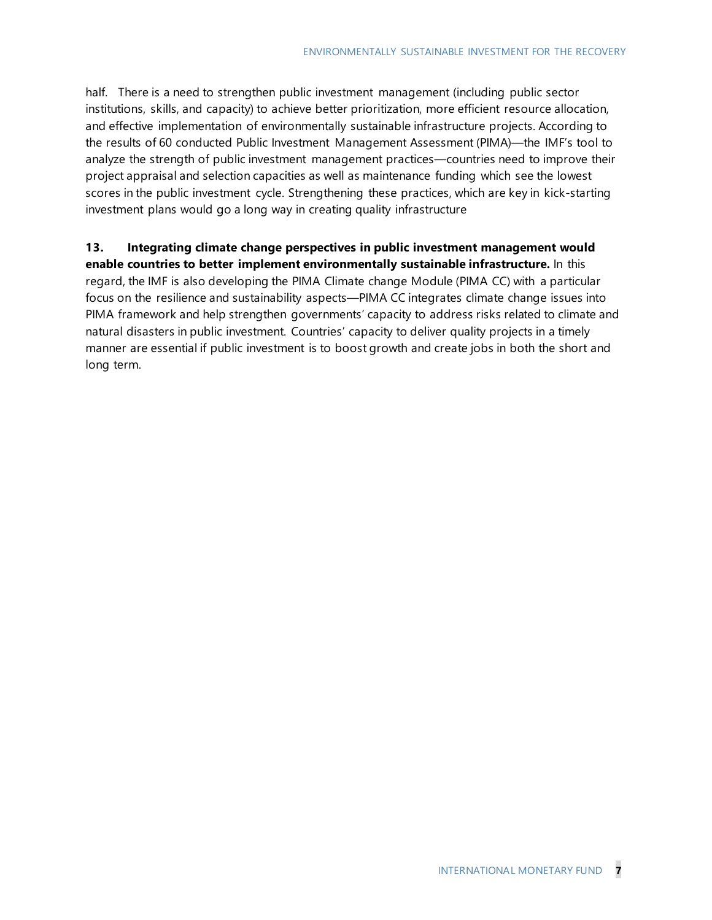half. There is a need to strengthen public investment management (including public sector institutions, skills, and capacity) to achieve better prioritization, more efficient resource allocation, and effective implementation of environmentally sustainable infrastructure projects. According to the results of 60 conducted Public Investment Management Assessment (PIMA)—the IMF's tool to analyze the strength of public investment management practices—countries need to improve their project appraisal and selection capacities as well as maintenance funding which see the lowest scores in the public investment cycle. Strengthening these practices, which are key in kick-starting investment plans would go a long way in creating quality infrastructure

## **13. Integrating climate change perspectives in public investment management would**

**enable countries to better implement environmentally sustainable infrastructure.** In this regard, the IMF is also developing the PIMA Climate change Module (PIMA CC) with a particular focus on the resilience and sustainability aspects—PIMA CC integrates climate change issues into PIMA framework and help strengthen governments' capacity to address risks related to climate and natural disasters in public investment. Countries' capacity to deliver quality projects in a timely manner are essential if public investment is to boost growth and create jobs in both the short and long term.